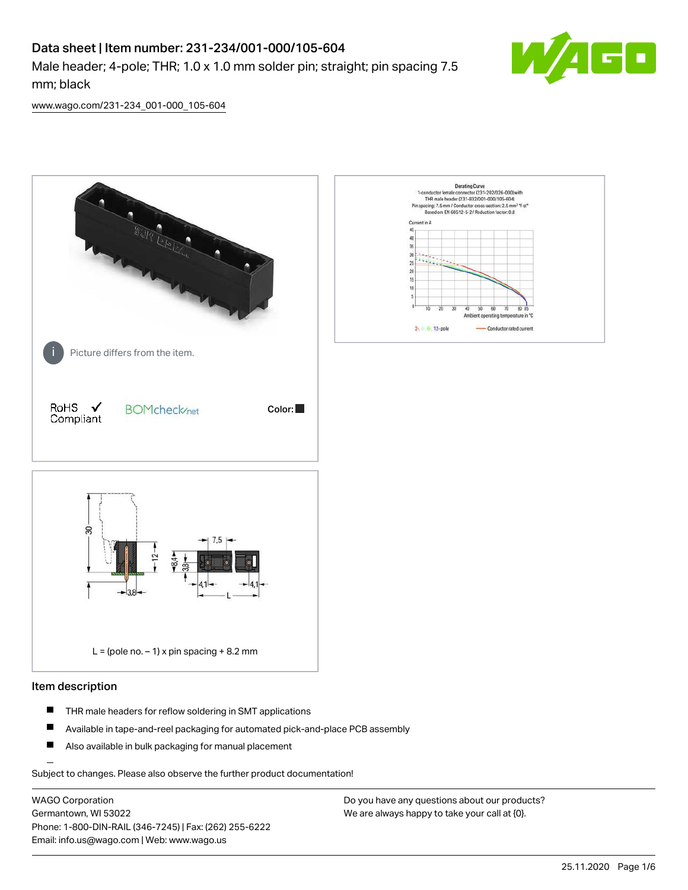# Data sheet | Item number: 231-234/001-000/105-604

Male header; 4-pole; THR; 1.0 x 1.0 mm solder pin; straight; pin spacing 7.5 mm; black



[www.wago.com/231-234\\_001-000\\_105-604](http://www.wago.com/231-234_001-000_105-604)



#### Item description

- $\blacksquare$ THR male headers for reflow soldering in SMT applications
- $\blacksquare$ Available in tape-and-reel packaging for automated pick-and-place PCB assembly
- $\blacksquare$ Also available in bulk packaging for manual placement

Subject to changes. Please also observe the further product documentation!

WAGO Corporation Germantown, WI 53022 Phone: 1-800-DIN-RAIL (346-7245) | Fax: (262) 255-6222 Email: info.us@wago.com | Web: www.wago.us

Do you have any questions about our products? We are always happy to take your call at {0}.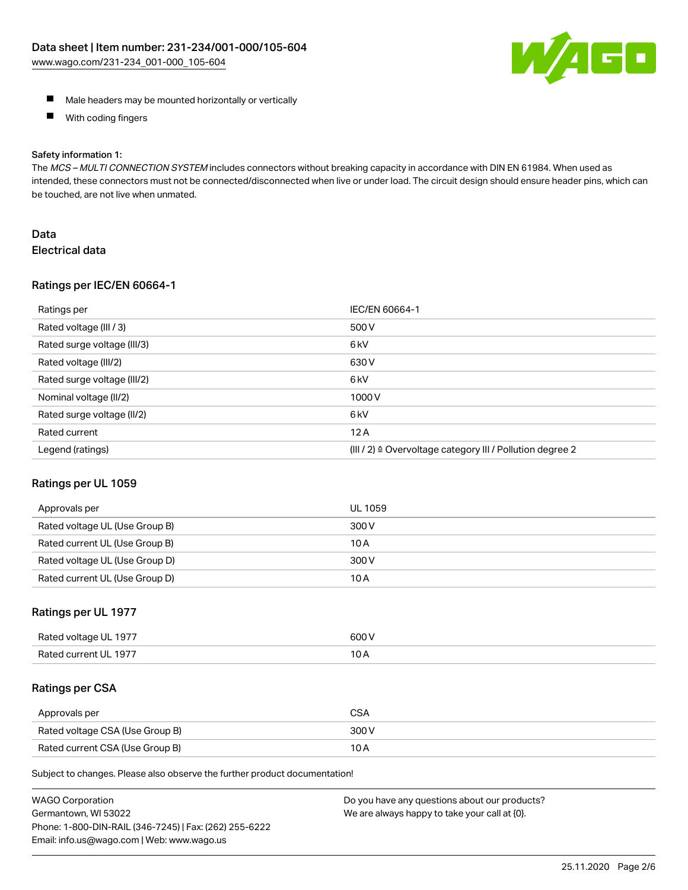

- **Male headers may be mounted horizontally or vertically**
- $\blacksquare$ With coding fingers

#### Safety information 1:

The MCS - MULTI CONNECTION SYSTEM includes connectors without breaking capacity in accordance with DIN EN 61984. When used as intended, these connectors must not be connected/disconnected when live or under load. The circuit design should ensure header pins, which can be touched, are not live when unmated.

## Data Electrical data

#### Ratings per IEC/EN 60664-1

| Ratings per                 | IEC/EN 60664-1                                                        |
|-----------------------------|-----------------------------------------------------------------------|
| Rated voltage (III / 3)     | 500 V                                                                 |
| Rated surge voltage (III/3) | 6 <sub>kV</sub>                                                       |
| Rated voltage (III/2)       | 630 V                                                                 |
| Rated surge voltage (III/2) | 6 <sub>kV</sub>                                                       |
| Nominal voltage (II/2)      | 1000V                                                                 |
| Rated surge voltage (II/2)  | 6 <sub>k</sub> V                                                      |
| Rated current               | 12A                                                                   |
| Legend (ratings)            | $(III / 2)$ $\triangle$ Overvoltage category III / Pollution degree 2 |

#### Ratings per UL 1059

| Approvals per                  | UL 1059 |
|--------------------------------|---------|
| Rated voltage UL (Use Group B) | 300 V   |
| Rated current UL (Use Group B) | 10 A    |
| Rated voltage UL (Use Group D) | 300 V   |
| Rated current UL (Use Group D) | 10 A    |

#### Ratings per UL 1977

| Rated<br>anstlov b<br>-197.<br>ווי | ANO N |
|------------------------------------|-------|
| Rater                              | 10    |
| -197                               | IVA   |
|                                    |       |

#### Ratings per CSA

| Approvals per                   | <b>CSA</b> |
|---------------------------------|------------|
| Rated voltage CSA (Use Group B) | 300 V      |
| Rated current CSA (Use Group B) | 10 A       |

Subject to changes. Please also observe the further product documentation!

| <b>WAGO Corporation</b>                                | Do you have any questions about our products? |
|--------------------------------------------------------|-----------------------------------------------|
| Germantown, WI 53022                                   | We are always happy to take your call at {0}. |
| Phone: 1-800-DIN-RAIL (346-7245)   Fax: (262) 255-6222 |                                               |
| Email: info.us@wago.com   Web: www.wago.us             |                                               |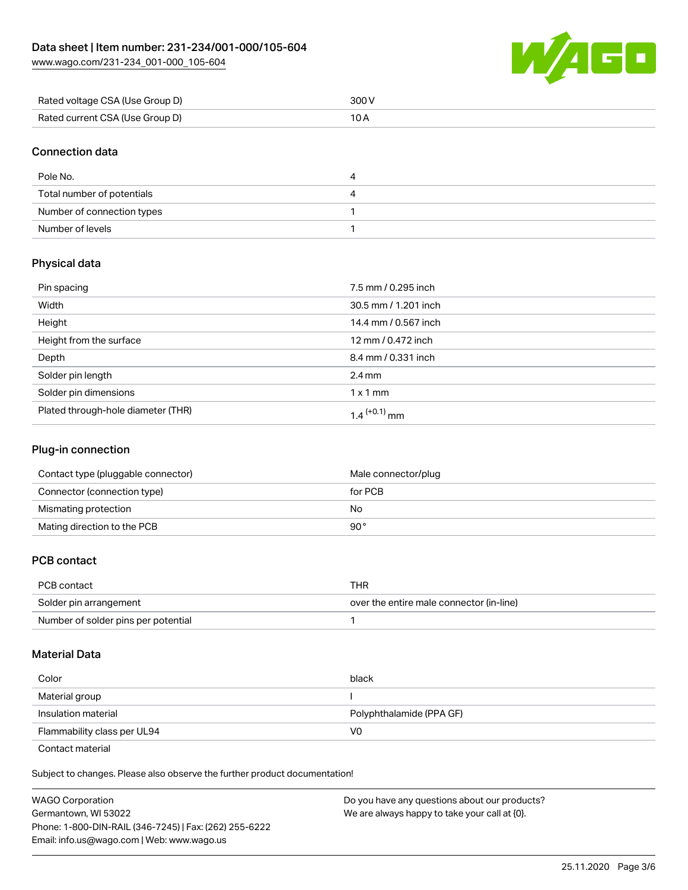[www.wago.com/231-234\\_001-000\\_105-604](http://www.wago.com/231-234_001-000_105-604)



| Rated voltage CSA (Use Group D) | 300 V |
|---------------------------------|-------|
| Rated current CSA (Use Group D) |       |

### Connection data

| Pole No.                   | 4 |
|----------------------------|---|
| Total number of potentials | 4 |
| Number of connection types |   |
| Number of levels           |   |

## Physical data

| Pin spacing                        | 7.5 mm / 0.295 inch      |
|------------------------------------|--------------------------|
| Width                              | 30.5 mm / 1.201 inch     |
| Height                             | 14.4 mm / 0.567 inch     |
| Height from the surface            | 12 mm / 0.472 inch       |
| Depth                              | 8.4 mm / 0.331 inch      |
| Solder pin length                  | $2.4 \text{ mm}$         |
| Solder pin dimensions              | $1 \times 1$ mm          |
| Plated through-hole diameter (THR) | 1.4 <sup>(+0.1)</sup> mm |

## Plug-in connection

| Contact type (pluggable connector) | Male connector/plug |
|------------------------------------|---------------------|
| Connector (connection type)        | for PCB             |
| Mismating protection               | No                  |
| Mating direction to the PCB        | 90°                 |

## PCB contact

| PCB contact                         | THR                                      |
|-------------------------------------|------------------------------------------|
| Solder pin arrangement              | over the entire male connector (in-line) |
| Number of solder pins per potential |                                          |

#### Material Data

| Color                       | black                    |
|-----------------------------|--------------------------|
| Material group              |                          |
| Insulation material         | Polyphthalamide (PPA GF) |
| Flammability class per UL94 | V0                       |

Contact material

Subject to changes. Please also observe the further product documentation!  $\mathbf{E}$ 

| WAGO Corporation                                       | Do you have any questions about our products? |
|--------------------------------------------------------|-----------------------------------------------|
| Germantown. WI 53022                                   | We are always happy to take your call at {0}. |
| Phone: 1-800-DIN-RAIL (346-7245)   Fax: (262) 255-6222 |                                               |
| Email: info.us@wago.com   Web: www.wago.us             |                                               |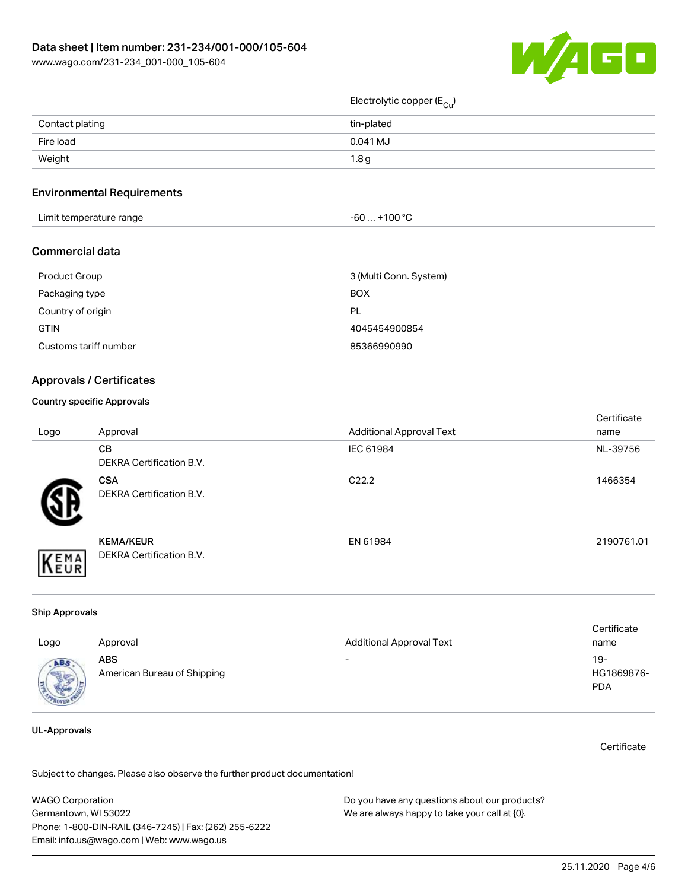

## Electrolytic copper (E<sub>Cu</sub>)

| Contact plating | tin-plated       |
|-----------------|------------------|
| Fire load       | $0.041$ MJ       |
| Weight          | 1.8 <sub>g</sub> |
|                 |                  |

#### Environmental Requirements

| Limit temperature range | $+100 °C$<br>-60…、 |
|-------------------------|--------------------|
|-------------------------|--------------------|

#### Commercial data

| Product Group         | 3 (Multi Conn. System) |
|-----------------------|------------------------|
| Packaging type        | <b>BOX</b>             |
| Country of origin     | - PL                   |
| <b>GTIN</b>           | 4045454900854          |
| Customs tariff number | 85366990990            |

#### Approvals / Certificates

#### Country specific Approvals

| Logo | Approval                                            | <b>Additional Approval Text</b> | Certificate<br>name |
|------|-----------------------------------------------------|---------------------------------|---------------------|
|      | <b>CB</b><br><b>DEKRA Certification B.V.</b>        | IEC 61984                       | NL-39756            |
|      | <b>CSA</b><br>DEKRA Certification B.V.              | C <sub>22.2</sub>               | 1466354             |
| EMA  | <b>KEMA/KEUR</b><br><b>DEKRA Certification B.V.</b> | EN 61984                        | 2190761.01          |

#### Ship Approvals

| Logo                            | Approval                                  | <b>Additional Approval Text</b> | Certificate<br>name             |
|---------------------------------|-------------------------------------------|---------------------------------|---------------------------------|
| <b>ABS</b><br><b>CONTRACTOR</b> | <b>ABS</b><br>American Bureau of Shipping | $\overline{\phantom{0}}$        | 19-<br>HG1869876-<br><b>PDA</b> |

#### UL-Approvals

**Certificate** 

Subject to changes. Please also observe the further product documentation!

WAGO Corporation Germantown, WI 53022 Phone: 1-800-DIN-RAIL (346-7245) | Fax: (262) 255-6222 Email: info.us@wago.com | Web: www.wago.us Do you have any questions about our products? We are always happy to take your call at {0}.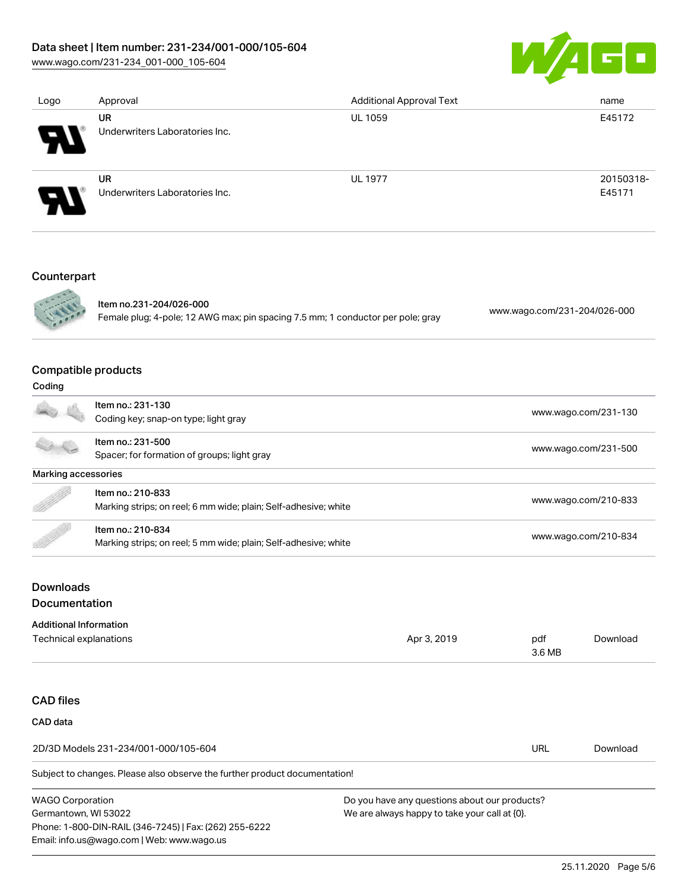## Data sheet | Item number: 231-234/001-000/105-604

[www.wago.com/231-234\\_001-000\\_105-604](http://www.wago.com/231-234_001-000_105-604)



| Logo | Approval                       | <b>Additional Approval Text</b> | name      |
|------|--------------------------------|---------------------------------|-----------|
|      | <b>UR</b>                      | <b>UL 1059</b>                  | E45172    |
| Я.   | Underwriters Laboratories Inc. |                                 |           |
|      | <b>UR</b>                      | <b>UL 1977</b>                  | 20150318- |
| A.   | Underwriters Laboratories Inc. |                                 | E45171    |
|      |                                |                                 |           |

## Counterpart



Item no.231-204/026-000 Female plug; 4-pole; 12 AWG max; pin spacing 7.5 mm; 1 conductor per pole; gray [www.wago.com/231-204/026-000](https://www.wago.com/231-204/026-000)

## Compatible products

| Coding              |                                                                 |                      |  |
|---------------------|-----------------------------------------------------------------|----------------------|--|
|                     | Item no.: 231-130                                               |                      |  |
|                     | Coding key; snap-on type; light gray                            | www.wago.com/231-130 |  |
|                     | Item no.: 231-500                                               | www.wago.com/231-500 |  |
|                     | Spacer; for formation of groups; light gray                     |                      |  |
| Marking accessories |                                                                 |                      |  |
| B                   | Item no.: 210-833                                               |                      |  |
|                     | Marking strips; on reel; 6 mm wide; plain; Self-adhesive; white | www.wago.com/210-833 |  |
|                     | Item no.: 210-834                                               |                      |  |
|                     | Marking strips; on reel; 5 mm wide; plain; Self-adhesive; white | www.wago.com/210-834 |  |

## Downloads Documentation

Phone: 1-800-DIN-RAIL (346-7245) | Fax: (262) 255-6222

Email: info.us@wago.com | Web: www.wago.us

| <b>Additional Information</b>                                              |                                               |               |          |
|----------------------------------------------------------------------------|-----------------------------------------------|---------------|----------|
| Technical explanations                                                     | Apr 3, 2019                                   | pdf<br>3.6 MB | Download |
|                                                                            |                                               |               |          |
| <b>CAD files</b>                                                           |                                               |               |          |
| CAD data                                                                   |                                               |               |          |
| 2D/3D Models 231-234/001-000/105-604                                       |                                               | URL           | Download |
| Subject to changes. Please also observe the further product documentation! |                                               |               |          |
| <b>WAGO Corporation</b>                                                    | Do you have any questions about our products? |               |          |
| We are always happy to take your call at {0}.<br>Germantown, WI 53022      |                                               |               |          |